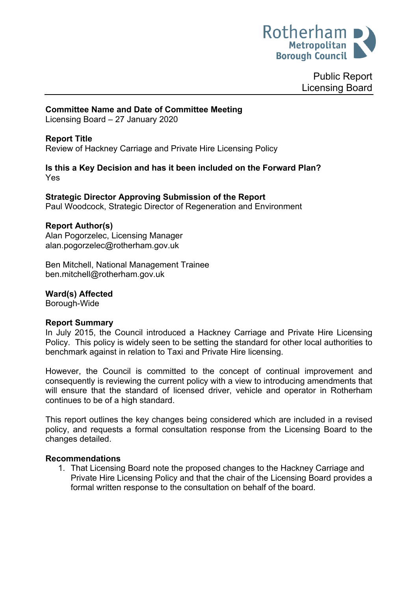

Public Report Licensing Board

#### **Committee Name and Date of Committee Meeting**

Licensing Board – 27 January 2020

#### **Report Title**

<span id="page-0-0"></span>Review of Hackney Carriage and Private Hire Licensing Policy

#### **Is this a Key Decision and has it been included on the Forward Plan?** Yes

#### **Strategic Director Approving Submission of the Report**

Paul Woodcock, Strategic Director of Regeneration and Environment

#### **Report Author(s)**

<span id="page-0-1"></span>Alan Pogorzelec, Licensing Manager alan.pogorzelec@rotherham.gov.uk

Ben Mitchell, National Management Trainee ben.mitchell@rotherham.gov.uk

# **Ward(s) Affected**

Borough-Wide

#### **Report Summary**

In July 2015, the Council introduced a Hackney Carriage and Private Hire Licensing Policy. This policy is widely seen to be setting the standard for other local authorities to benchmark against in relation to Taxi and Private Hire licensing.

However, the Council is committed to the concept of continual improvement and consequently is reviewing the current policy with a view to introducing amendments that will ensure that the standard of licensed driver, vehicle and operator in Rotherham continues to be of a high standard.

This report outlines the key changes being considered which are included in a revised policy, and requests a formal consultation response from the Licensing Board to the changes detailed.

#### **Recommendations**

1. That Licensing Board note the proposed changes to the Hackney Carriage and Private Hire Licensing Policy and that the chair of the Licensing Board provides a formal written response to the consultation on behalf of the board.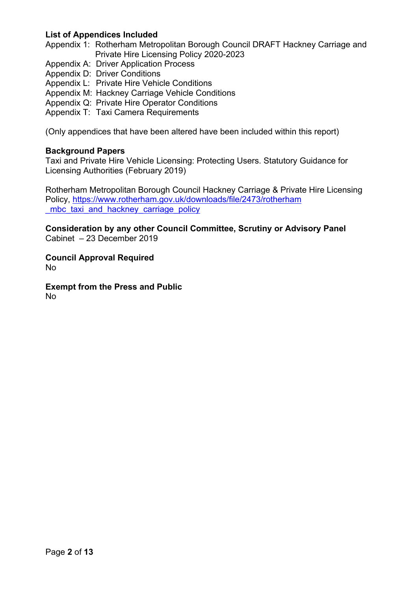### **List of Appendices Included**

Appendix 1: Rotherham Metropolitan Borough Council DRAFT Hackney Carriage and Private Hire Licensing Policy 2020-2023

- Appendix A: Driver Application Process
- Appendix D: Driver Conditions
- Appendix L: Private Hire Vehicle Conditions
- Appendix M: Hackney Carriage Vehicle Conditions
- Appendix Q: Private Hire Operator Conditions
- Appendix T: Taxi Camera Requirements

(Only appendices that have been altered have been included within this report)

#### **Background Papers**

Taxi and Private Hire Vehicle Licensing: Protecting Users. Statutory Guidance for Licensing Authorities (February 2019)

Rotherham Metropolitan Borough Council Hackney Carriage & Private Hire Licensing Policy, [https://www.rotherham.gov.uk/downloads/file/2473/rotherham](https://www.rotherham.gov.uk/downloads/file/2473/rotherham_mbc_taxi_and_hackney_carriage_policy) mbc taxi and hackney carriage policy

**Consideration by any other Council Committee, Scrutiny or Advisory Panel** Cabinet – 23 December 2019

**Council Approval Required** No

**Exempt from the Press and Public** No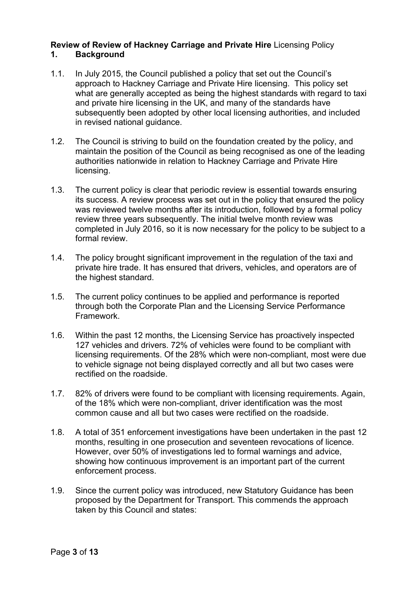### **Review of Review of Hackney Carriage and Private Hire** [Licensing](#page-0-0) Policy **1. Background**

- 1.1. In July 2015, the Council published a policy that set out the Council's approach to Hackney Carriage and Private Hire licensing. This policy set what are generally accepted as being the highest standards with regard to taxi and private hire licensing in the UK, and many of the standards have subsequently been adopted by other local licensing authorities, and included in revised national guidance.
- 1.2. The Council is striving to build on the foundation created by the policy, and maintain the position of the Council as being recognised as one of the leading authorities nationwide in relation to Hackney Carriage and Private Hire licensing.
- 1.3. The current policy is clear that periodic review is essential towards ensuring its success. A review process was set out in the policy that ensured the policy was reviewed twelve months after its introduction, followed by a formal policy review three years subsequently. The initial twelve month review was completed in July 2016, so it is now necessary for the policy to be subject to a formal review.
- 1.4. The policy brought significant improvement in the regulation of the taxi and private hire trade. It has ensured that drivers, vehicles, and operators are of the highest standard.
- 1.5. The current policy continues to be applied and performance is reported through both the Corporate Plan and the Licensing Service Performance Framework.
- 1.6. Within the past 12 months, the Licensing Service has proactively inspected 127 vehicles and drivers. 72% of vehicles were found to be compliant with licensing requirements. Of the 28% which were non-compliant, most were due to vehicle signage not being displayed correctly and all but two cases were rectified on the roadside.
- 1.7. 82% of drivers were found to be compliant with licensing requirements. Again, of the 18% which were non-compliant, driver identification was the most common cause and all but two cases were rectified on the roadside.
- 1.8. A total of 351 enforcement investigations have been undertaken in the past 12 months, resulting in one prosecution and seventeen revocations of licence. However, over 50% of investigations led to formal warnings and advice, showing how continuous improvement is an important part of the current enforcement process.
- 1.9. Since the current policy was introduced, new Statutory Guidance has been proposed by the Department for Transport. This commends the approach taken by this Council and states: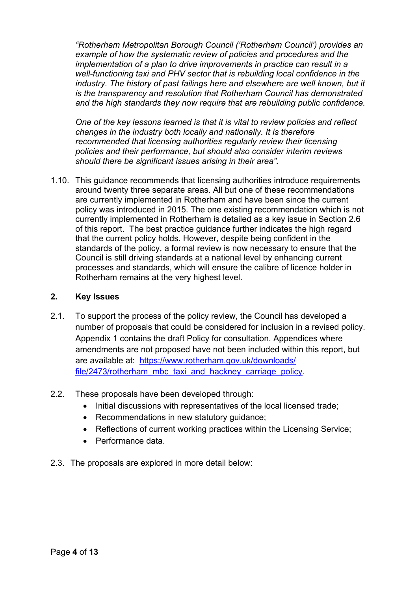*"Rotherham Metropolitan Borough Council ('Rotherham Council') provides an example of how the systematic review of policies and procedures and the implementation of a plan to drive improvements in practice can result in a well-functioning taxi and PHV sector that is rebuilding local confidence in the industry. The history of past failings here and elsewhere are well known, but it is the transparency and resolution that Rotherham Council has demonstrated and the high standards they now require that are rebuilding public confidence.*

*One of the key lessons learned is that it is vital to review policies and reflect changes in the industry both locally and nationally. It is therefore recommended that licensing authorities regularly review their licensing policies and their performance, but should also consider interim reviews should there be significant issues arising in their area".*

1.10. This guidance recommends that licensing authorities introduce requirements around twenty three separate areas. All but one of these recommendations are currently implemented in Rotherham and have been since the current policy was introduced in 2015. The one existing recommendation which is not currently implemented in Rotherham is detailed as a key issue in Section 2.6 of this report. The best practice guidance further indicates the high regard that the current policy holds. However, despite being confident in the standards of the policy, a formal review is now necessary to ensure that the Council is still driving standards at a national level by enhancing current processes and standards, which will ensure the calibre of licence holder in Rotherham remains at the very highest level.

### **2. Key Issues**

- 2.1. To support the process of the policy review, the Council has developed a number of proposals that could be considered for inclusion in a revised policy. Appendix 1 contains the draft Policy for consultation. Appendices where amendments are not proposed have not been included within this report, but are available at: [https://www.rotherham.gov.uk/downloads/](https://www.rotherham.gov.uk/downloads/file/2473/rotherham_mbc_taxi_and_hackney_carriage_policy) [file/2473/rotherham\\_mbc\\_taxi\\_and\\_hackney\\_carriage\\_policy.](https://www.rotherham.gov.uk/downloads/file/2473/rotherham_mbc_taxi_and_hackney_carriage_policy)
- 2.2. These proposals have been developed through:
	- Initial discussions with representatives of the local licensed trade:
	- Recommendations in new statutory guidance;
	- Reflections of current working practices within the Licensing Service;
	- Performance data.
- 2.3. The proposals are explored in more detail below: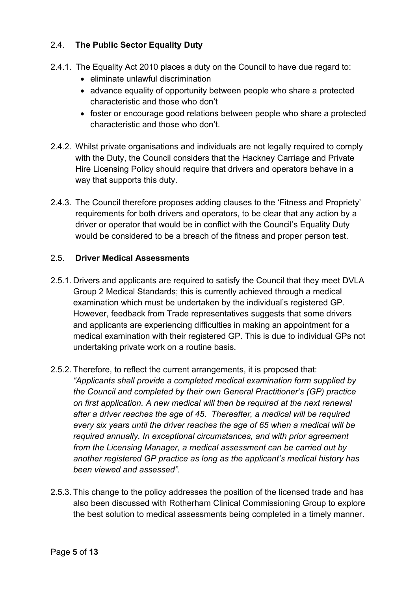# 2.4. **The Public Sector Equality Duty**

- 2.4.1. The Equality Act 2010 places a duty on the Council to have due regard to:
	- eliminate unlawful discrimination
	- advance equality of opportunity between people who share a protected characteristic and those who don't
	- foster or encourage good relations between people who share a protected characteristic and those who don't.
- 2.4.2. Whilst private organisations and individuals are not legally required to comply with the Duty, the Council considers that the Hackney Carriage and Private Hire Licensing Policy should require that drivers and operators behave in a way that supports this duty.
- 2.4.3. The Council therefore proposes adding clauses to the 'Fitness and Propriety' requirements for both drivers and operators, to be clear that any action by a driver or operator that would be in conflict with the Council's Equality Duty would be considered to be a breach of the fitness and proper person test.

# 2.5. **Driver Medical Assessments**

- 2.5.1. Drivers and applicants are required to satisfy the Council that they meet DVLA Group 2 Medical Standards; this is currently achieved through a medical examination which must be undertaken by the individual's registered GP. However, feedback from Trade representatives suggests that some drivers and applicants are experiencing difficulties in making an appointment for a medical examination with their registered GP. This is due to individual GPs not undertaking private work on a routine basis.
- 2.5.2. Therefore, to reflect the current arrangements, it is proposed that: *"Applicants shall provide a completed medical examination form supplied by the Council and completed by their own General Practitioner's (GP) practice on first application. A new medical will then be required at the next renewal after a driver reaches the age of 45. Thereafter, a medical will be required every six years until the driver reaches the age of 65 when a medical will be required annually. In exceptional circumstances, and with prior agreement from the Licensing Manager, a medical assessment can be carried out by another registered GP practice as long as the applicant's medical history has been viewed and assessed".*
- 2.5.3. This change to the policy addresses the position of the licensed trade and has also been discussed with Rotherham Clinical Commissioning Group to explore the best solution to medical assessments being completed in a timely manner.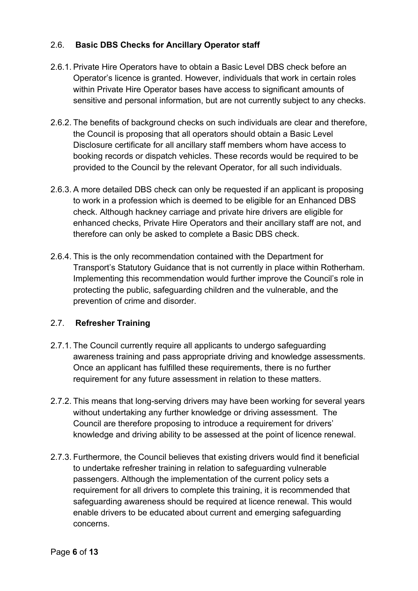# 2.6. **Basic DBS Checks for Ancillary Operator staff**

- 2.6.1. Private Hire Operators have to obtain a Basic Level DBS check before an Operator's licence is granted. However, individuals that work in certain roles within Private Hire Operator bases have access to significant amounts of sensitive and personal information, but are not currently subject to any checks.
- 2.6.2. The benefits of background checks on such individuals are clear and therefore, the Council is proposing that all operators should obtain a Basic Level Disclosure certificate for all ancillary staff members whom have access to booking records or dispatch vehicles. These records would be required to be provided to the Council by the relevant Operator, for all such individuals.
- 2.6.3. A more detailed DBS check can only be requested if an applicant is proposing to work in a profession which is deemed to be eligible for an Enhanced DBS check. Although hackney carriage and private hire drivers are eligible for enhanced checks, Private Hire Operators and their ancillary staff are not, and therefore can only be asked to complete a Basic DBS check.
- 2.6.4. This is the only recommendation contained with the Department for Transport's Statutory Guidance that is not currently in place within Rotherham. Implementing this recommendation would further improve the Council's role in protecting the public, safeguarding children and the vulnerable, and the prevention of crime and disorder.

# 2.7. **Refresher Training**

- 2.7.1. The Council currently require all applicants to undergo safeguarding awareness training and pass appropriate driving and knowledge assessments. Once an applicant has fulfilled these requirements, there is no further requirement for any future assessment in relation to these matters.
- 2.7.2. This means that long-serving drivers may have been working for several years without undertaking any further knowledge or driving assessment. The Council are therefore proposing to introduce a requirement for drivers' knowledge and driving ability to be assessed at the point of licence renewal.
- 2.7.3. Furthermore, the Council believes that existing drivers would find it beneficial to undertake refresher training in relation to safeguarding vulnerable passengers. Although the implementation of the current policy sets a requirement for all drivers to complete this training, it is recommended that safeguarding awareness should be required at licence renewal. This would enable drivers to be educated about current and emerging safeguarding concerns.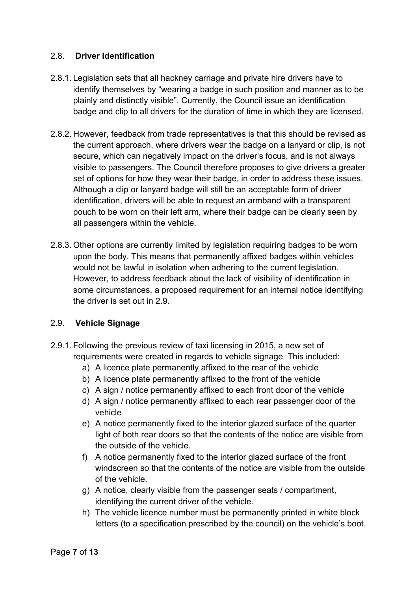### 2.8. **Driver Identification**

- 2.8.1. Legislation sets that all hackney carriage and private hire drivers have to identify themselves by "wearing a badge in such position and manner as to be plainly and distinctly visible". Currently, the Council issue an identification badge and clip to all drivers for the duration of time in which they are licensed.
- 2.8.2. However, feedback from trade representatives is that this should be revised as the current approach, where drivers wear the badge on a lanyard or clip, is not secure, which can negatively impact on the driver's focus, and is not always visible to passengers. The Council therefore proposes to give drivers a greater set of options for how they wear their badge, in order to address these issues. Although a clip or lanyard badge will still be an acceptable form of driver identification, drivers will be able to request an armband with a transparent pouch to be worn on their left arm, where their badge can be clearly seen by all passengers within the vehicle.
- 2.8.3. Other options are currently limited by legislation requiring badges to be worn upon the body. This means that permanently affixed badges within vehicles would not be lawful in isolation when adhering to the current legislation. However, to address feedback about the lack of visibility of identification in some circumstances, a proposed requirement for an internal notice identifying the driver is set out in 2.9.

### 2.9. **Vehicle Signage**

- 2.9.1. Following the previous review of taxi licensing in 2015, a new set of requirements were created in regards to vehicle signage. This included:
	- a) A licence plate permanently affixed to the rear of the vehicle
	- b) A licence plate permanently affixed to the front of the vehicle
	- c) A sign / notice permanently affixed to each front door of the vehicle
	- d) A sign / notice permanently affixed to each rear passenger door of the vehicle
	- e) A notice permanently fixed to the interior glazed surface of the quarter light of both rear doors so that the contents of the notice are visible from the outside of the vehicle.
	- f) A notice permanently fixed to the interior glazed surface of the front windscreen so that the contents of the notice are visible from the outside of the vehicle.
	- g) A notice, clearly visible from the passenger seats / compartment, identifying the current driver of the vehicle.
	- h) The vehicle licence number must be permanently printed in white block letters (to a specification prescribed by the council) on the vehicle's boot.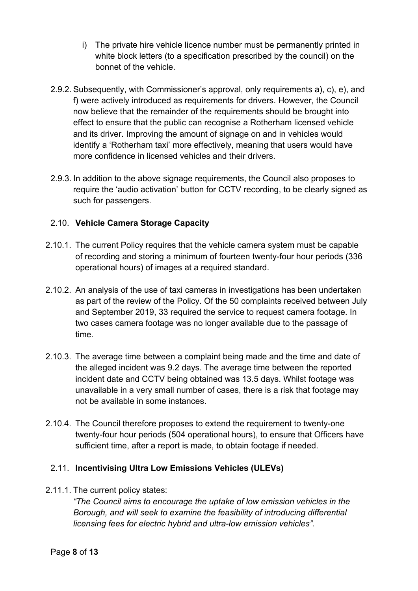- i) The private hire vehicle licence number must be permanently printed in white block letters (to a specification prescribed by the council) on the bonnet of the vehicle.
- 2.9.2. Subsequently, with Commissioner's approval, only requirements a), c), e), and f) were actively introduced as requirements for drivers. However, the Council now believe that the remainder of the requirements should be brought into effect to ensure that the public can recognise a Rotherham licensed vehicle and its driver. Improving the amount of signage on and in vehicles would identify a 'Rotherham taxi' more effectively, meaning that users would have more confidence in licensed vehicles and their drivers.
- 2.9.3. In addition to the above signage requirements, the Council also proposes to require the 'audio activation' button for CCTV recording, to be clearly signed as such for passengers.

# 2.10. **Vehicle Camera Storage Capacity**

- 2.10.1. The current Policy requires that the vehicle camera system must be capable of recording and storing a minimum of fourteen twenty-four hour periods (336 operational hours) of images at a required standard.
- 2.10.2. An analysis of the use of taxi cameras in investigations has been undertaken as part of the review of the Policy. Of the 50 complaints received between July and September 2019, 33 required the service to request camera footage. In two cases camera footage was no longer available due to the passage of time.
- 2.10.3. The average time between a complaint being made and the time and date of the alleged incident was 9.2 days. The average time between the reported incident date and CCTV being obtained was 13.5 days. Whilst footage was unavailable in a very small number of cases, there is a risk that footage may not be available in some instances.
- 2.10.4. The Council therefore proposes to extend the requirement to twenty-one twenty-four hour periods (504 operational hours), to ensure that Officers have sufficient time, after a report is made, to obtain footage if needed.

# 2.11. **Incentivising Ultra Low Emissions Vehicles (ULEVs)**

2.11.1. The current policy states:

*"The Council aims to encourage the uptake of low emission vehicles in the Borough, and will seek to examine the feasibility of introducing differential licensing fees for electric hybrid and ultra-low emission vehicles".*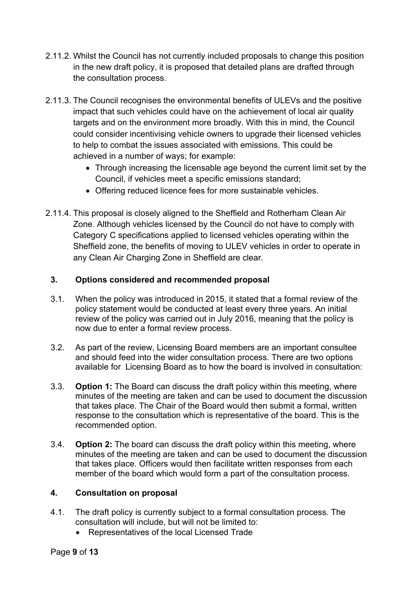- 2.11.2. Whilst the Council has not currently included proposals to change this position in the new draft policy, it is proposed that detailed plans are drafted through the consultation process.
- 2.11.3. The Council recognises the environmental benefits of ULEVs and the positive impact that such vehicles could have on the achievement of local air quality targets and on the environment more broadly. With this in mind, the Council could consider incentivising vehicle owners to upgrade their licensed vehicles to help to combat the issues associated with emissions. This could be achieved in a number of ways; for example:
	- Through increasing the licensable age beyond the current limit set by the Council, if vehicles meet a specific emissions standard;
	- Offering reduced licence fees for more sustainable vehicles.
- 2.11.4. This proposal is closely aligned to the Sheffield and Rotherham Clean Air Zone. Although vehicles licensed by the Council do not have to comply with Category C specifications applied to licensed vehicles operating within the Sheffield zone, the benefits of moving to ULEV vehicles in order to operate in any Clean Air Charging Zone in Sheffield are clear.

# **3. Options considered and recommended proposal**

- 3.1. When the policy was introduced in 2015, it stated that a formal review of the policy statement would be conducted at least every three years. An initial review of the policy was carried out in July 2016, meaning that the policy is now due to enter a formal review process.
- 3.2. As part of the review, Licensing Board members are an important consultee and should feed into the wider consultation process. There are two options available for Licensing Board as to how the board is involved in consultation:
- 3.3. **Option 1:** The Board can discuss the draft policy within this meeting, where minutes of the meeting are taken and can be used to document the discussion that takes place. The Chair of the Board would then submit a formal, written response to the consultation which is representative of the board. This is the recommended option.
- 3.4. **Option 2:** The board can discuss the draft policy within this meeting, where minutes of the meeting are taken and can be used to document the discussion that takes place. Officers would then facilitate written responses from each member of the board which would form a part of the consultation process.

# **4. Consultation on proposal**

- 4.1. The draft policy is currently subject to a formal consultation process. The consultation will include, but will not be limited to:
	- Representatives of the local Licensed Trade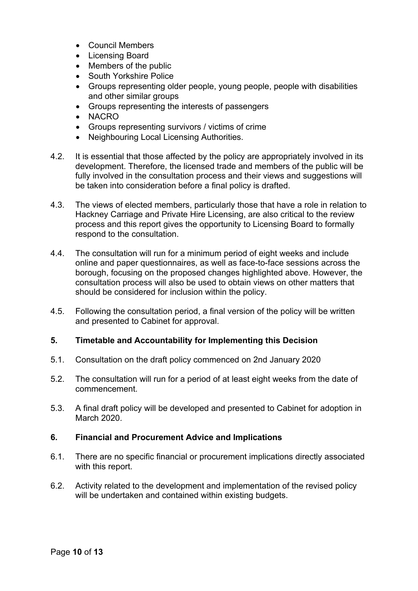- Council Members
- Licensing Board
- Members of the public
- South Yorkshire Police
- Groups representing older people, young people, people with disabilities and other similar groups
- Groups representing the interests of passengers
- NACRO
- Groups representing survivors / victims of crime
- Neighbouring Local Licensing Authorities.
- 4.2. It is essential that those affected by the policy are appropriately involved in its development. Therefore, the licensed trade and members of the public will be fully involved in the consultation process and their views and suggestions will be taken into consideration before a final policy is drafted.
- 4.3. The views of elected members, particularly those that have a role in relation to Hackney Carriage and Private Hire Licensing, are also critical to the review process and this report gives the opportunity to Licensing Board to formally respond to the consultation.
- 4.4. The consultation will run for a minimum period of eight weeks and include online and paper questionnaires, as well as face-to-face sessions across the borough, focusing on the proposed changes highlighted above. However, the consultation process will also be used to obtain views on other matters that should be considered for inclusion within the policy.
- 4.5. Following the consultation period, a final version of the policy will be written and presented to Cabinet for approval.

### **5. Timetable and Accountability for Implementing this Decision**

- 5.1. Consultation on the draft policy commenced on 2nd January 2020
- 5.2. The consultation will run for a period of at least eight weeks from the date of commencement.
- 5.3. A final draft policy will be developed and presented to Cabinet for adoption in March 2020.

### **6. Financial and Procurement Advice and Implications**

- 6.1. There are no specific financial or procurement implications directly associated with this report.
- 6.2. Activity related to the development and implementation of the revised policy will be undertaken and contained within existing budgets.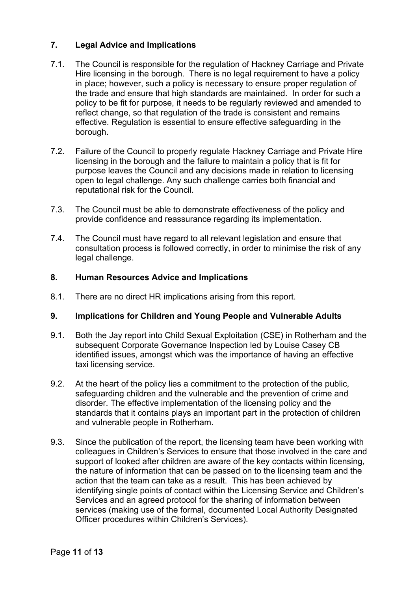### **7. Legal Advice and Implications**

- 7.1. The Council is responsible for the regulation of Hackney Carriage and Private Hire licensing in the borough. There is no legal requirement to have a policy in place; however, such a policy is necessary to ensure proper regulation of the trade and ensure that high standards are maintained. In order for such a policy to be fit for purpose, it needs to be regularly reviewed and amended to reflect change, so that regulation of the trade is consistent and remains effective. Regulation is essential to ensure effective safeguarding in the borough.
- 7.2. Failure of the Council to properly regulate Hackney Carriage and Private Hire licensing in the borough and the failure to maintain a policy that is fit for purpose leaves the Council and any decisions made in relation to licensing open to legal challenge. Any such challenge carries both financial and reputational risk for the Council.
- 7.3. The Council must be able to demonstrate effectiveness of the policy and provide confidence and reassurance regarding its implementation.
- 7.4. The Council must have regard to all relevant legislation and ensure that consultation process is followed correctly, in order to minimise the risk of any legal challenge.

### **8. Human Resources Advice and Implications**

8.1. There are no direct HR implications arising from this report.

### **9. Implications for Children and Young People and Vulnerable Adults**

- 9.1. Both the Jay report into Child Sexual Exploitation (CSE) in Rotherham and the subsequent Corporate Governance Inspection led by Louise Casey CB identified issues, amongst which was the importance of having an effective taxi licensing service.
- 9.2. At the heart of the policy lies a commitment to the protection of the public, safeguarding children and the vulnerable and the prevention of crime and disorder. The effective implementation of the licensing policy and the standards that it contains plays an important part in the protection of children and vulnerable people in Rotherham.
- 9.3. Since the publication of the report, the licensing team have been working with colleagues in Children's Services to ensure that those involved in the care and support of looked after children are aware of the key contacts within licensing, the nature of information that can be passed on to the licensing team and the action that the team can take as a result. This has been achieved by identifying single points of contact within the Licensing Service and Children's Services and an agreed protocol for the sharing of information between services (making use of the formal, documented Local Authority Designated Officer procedures within Children's Services).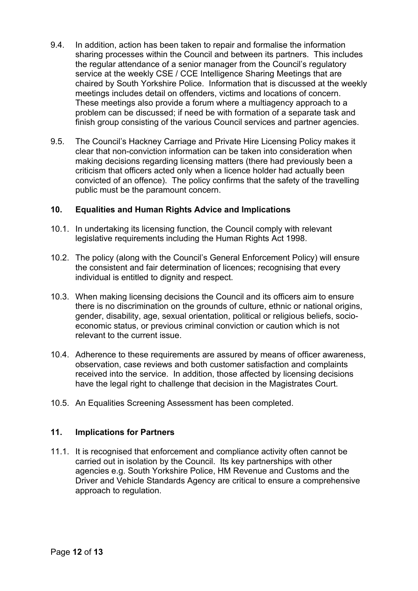- 9.4. In addition, action has been taken to repair and formalise the information sharing processes within the Council and between its partners. This includes the regular attendance of a senior manager from the Council's regulatory service at the weekly CSE / CCE Intelligence Sharing Meetings that are chaired by South Yorkshire Police. Information that is discussed at the weekly meetings includes detail on offenders, victims and locations of concern. These meetings also provide a forum where a multiagency approach to a problem can be discussed; if need be with formation of a separate task and finish group consisting of the various Council services and partner agencies.
- 9.5. The Council's Hackney Carriage and Private Hire Licensing Policy makes it clear that non-conviction information can be taken into consideration when making decisions regarding licensing matters (there had previously been a criticism that officers acted only when a licence holder had actually been convicted of an offence). The policy confirms that the safety of the travelling public must be the paramount concern.

### **10. Equalities and Human Rights Advice and Implications**

- 10.1. In undertaking its licensing function, the Council comply with relevant legislative requirements including the Human Rights Act 1998.
- 10.2. The policy (along with the Council's General Enforcement Policy) will ensure the consistent and fair determination of licences; recognising that every individual is entitled to dignity and respect.
- 10.3. When making licensing decisions the Council and its officers aim to ensure there is no discrimination on the grounds of culture, ethnic or national origins, gender, disability, age, sexual orientation, political or religious beliefs, socioeconomic status, or previous criminal conviction or caution which is not relevant to the current issue.
- 10.4. Adherence to these requirements are assured by means of officer awareness, observation, case reviews and both customer satisfaction and complaints received into the service. In addition, those affected by licensing decisions have the legal right to challenge that decision in the Magistrates Court.
- 10.5. An Equalities Screening Assessment has been completed.

### **11. Implications for Partners**

11.1. It is recognised that enforcement and compliance activity often cannot be carried out in isolation by the Council. Its key partnerships with other agencies e.g. South Yorkshire Police, HM Revenue and Customs and the Driver and Vehicle Standards Agency are critical to ensure a comprehensive approach to regulation.